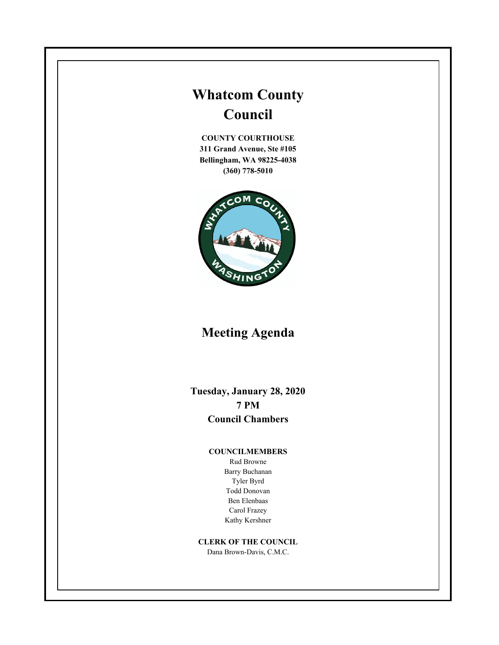# **Whatcom County Council**

**COUNTY COURTHOUSE 311 Grand Avenue, Ste #105 Bellingham, WA 98225-4038 (360) 778-5010**



## **Meeting Agenda**

**Tuesday, January 28, 2020 7 PM Council Chambers**

#### **COUNCILMEMBERS**

Rud Browne Barry Buchanan Tyler Byrd Todd Donovan Ben Elenbaas Carol Frazey Kathy Kershner

#### **CLERK OF THE COUNCIL**

Dana Brown-Davis, C.M.C.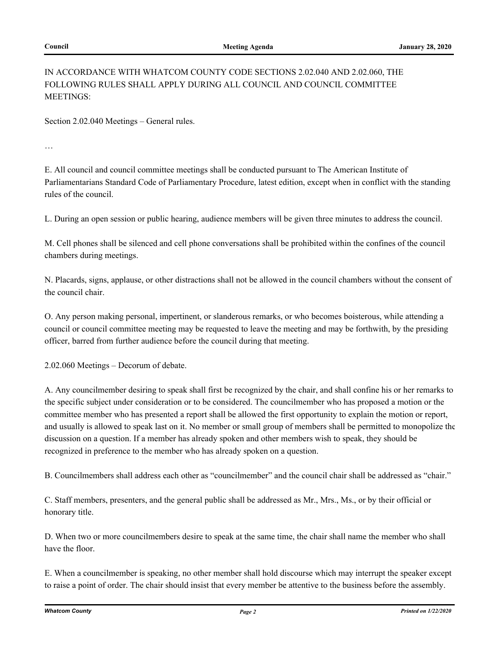## IN ACCORDANCE WITH WHATCOM COUNTY CODE SECTIONS 2.02.040 AND 2.02.060, THE FOLLOWING RULES SHALL APPLY DURING ALL COUNCIL AND COUNCIL COMMITTEE MEETINGS:

Section 2.02.040 Meetings – General rules.

…

E. All council and council committee meetings shall be conducted pursuant to The American Institute of Parliamentarians Standard Code of Parliamentary Procedure, latest edition, except when in conflict with the standing rules of the council.

L. During an open session or public hearing, audience members will be given three minutes to address the council.

M. Cell phones shall be silenced and cell phone conversations shall be prohibited within the confines of the council chambers during meetings.

N. Placards, signs, applause, or other distractions shall not be allowed in the council chambers without the consent of the council chair.

O. Any person making personal, impertinent, or slanderous remarks, or who becomes boisterous, while attending a council or council committee meeting may be requested to leave the meeting and may be forthwith, by the presiding officer, barred from further audience before the council during that meeting.

2.02.060 Meetings – Decorum of debate.

A. Any councilmember desiring to speak shall first be recognized by the chair, and shall confine his or her remarks to the specific subject under consideration or to be considered. The councilmember who has proposed a motion or the committee member who has presented a report shall be allowed the first opportunity to explain the motion or report, and usually is allowed to speak last on it. No member or small group of members shall be permitted to monopolize the discussion on a question. If a member has already spoken and other members wish to speak, they should be recognized in preference to the member who has already spoken on a question.

B. Councilmembers shall address each other as "councilmember" and the council chair shall be addressed as "chair."

C. Staff members, presenters, and the general public shall be addressed as Mr., Mrs., Ms., or by their official or honorary title.

D. When two or more councilmembers desire to speak at the same time, the chair shall name the member who shall have the floor.

E. When a councilmember is speaking, no other member shall hold discourse which may interrupt the speaker except to raise a point of order. The chair should insist that every member be attentive to the business before the assembly.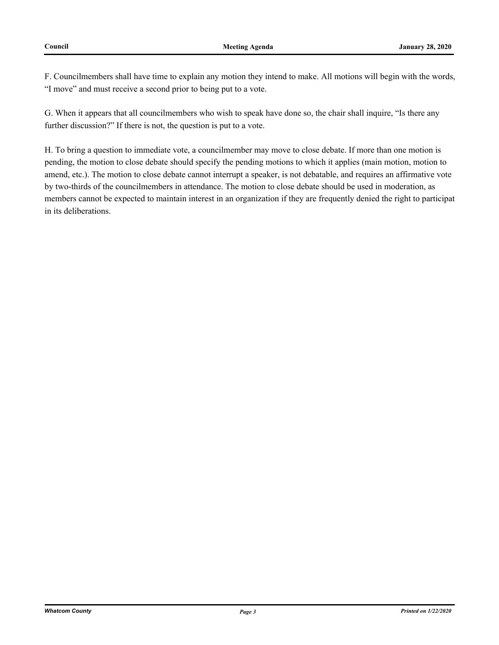F. Councilmembers shall have time to explain any motion they intend to make. All motions will begin with the words, "I move" and must receive a second prior to being put to a vote.

G. When it appears that all councilmembers who wish to speak have done so, the chair shall inquire, "Is there any further discussion?" If there is not, the question is put to a vote.

H. To bring a question to immediate vote, a councilmember may move to close debate. If more than one motion is pending, the motion to close debate should specify the pending motions to which it applies (main motion, motion to amend, etc.). The motion to close debate cannot interrupt a speaker, is not debatable, and requires an affirmative vote by two-thirds of the councilmembers in attendance. The motion to close debate should be used in moderation, as members cannot be expected to maintain interest in an organization if they are frequently denied the right to participat in its deliberations.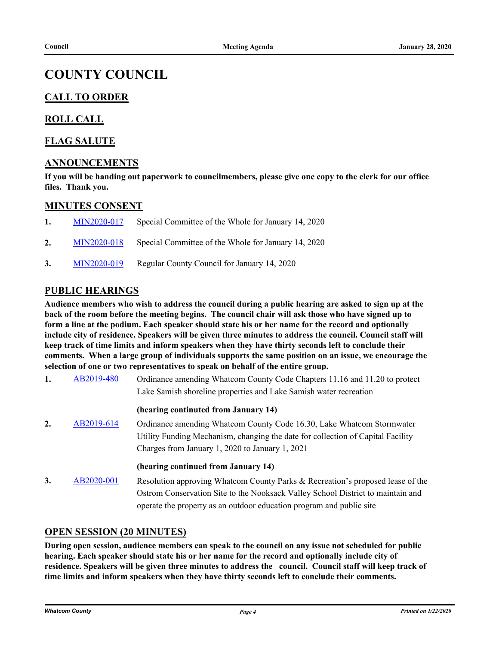## **COUNTY COUNCIL**

## **CALL TO ORDER**

## **ROLL CALL**

## **FLAG SALUTE**

## **ANNOUNCEMENTS**

**If you will be handing out paperwork to councilmembers, please give one copy to the clerk for our office files. Thank you.**

#### **MINUTES CONSENT**

| $\mathbf{1}$ . | MIN2020-017 | Special Committee of the Whole for January 14, 2020 |
|----------------|-------------|-----------------------------------------------------|
| 2.             | MIN2020-018 | Special Committee of the Whole for January 14, 2020 |
| 3.             | MIN2020-019 | Regular County Council for January 14, 2020         |

## **PUBLIC HEARINGS**

**Audience members who wish to address the council during a public hearing are asked to sign up at the back of the room before the meeting begins. The council chair will ask those who have signed up to form a line at the podium. Each speaker should state his or her name for the record and optionally include city of residence. Speakers will be given three minutes to address the council. Council staff will keep track of time limits and inform speakers when they have thirty seconds left to conclude their comments. When a large group of individuals supports the same position on an issue, we encourage the selection of one or two representatives to speak on behalf of the entire group.**

**1.** [AB2019-480](http://whatcom.legistar.com/gateway.aspx?m=l&id=/matter.aspx?key=2537) Ordinance amending Whatcom County Code Chapters 11.16 and 11.20 to protect Lake Samish shoreline properties and Lake Samish water recreation

#### **(hearing continuted from January 14)**

**2.** [AB2019-614](http://whatcom.legistar.com/gateway.aspx?m=l&id=/matter.aspx?key=2728) Ordinance amending Whatcom County Code 16.30, Lake Whatcom Stormwater Utility Funding Mechanism, changing the date for collection of Capital Facility Charges from January 1, 2020 to January 1, 2021

#### **(hearing continued from January 14)**

**3.** [AB2020-001](http://whatcom.legistar.com/gateway.aspx?m=l&id=/matter.aspx?key=2759) Resolution approving Whatcom County Parks & Recreation's proposed lease of the Ostrom Conservation Site to the Nooksack Valley School District to maintain and operate the property as an outdoor education program and public site

#### **OPEN SESSION (20 MINUTES)**

**During open session, audience members can speak to the council on any issue not scheduled for public hearing. Each speaker should state his or her name for the record and optionally include city of residence. Speakers will be given three minutes to address the council. Council staff will keep track of time limits and inform speakers when they have thirty seconds left to conclude their comments.**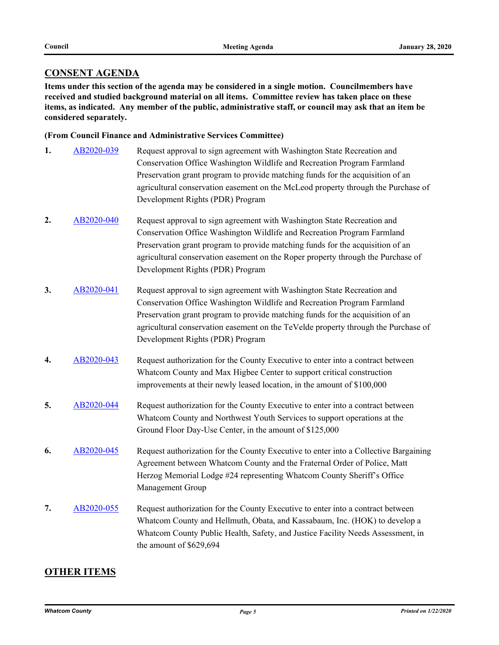## **CONSENT AGENDA**

**Items under this section of the agenda may be considered in a single motion. Councilmembers have received and studied background material on all items. Committee review has taken place on these items, as indicated. Any member of the public, administrative staff, or council may ask that an item be considered separately.**

#### **(From Council Finance and Administrative Services Committee)**

- **1.** [AB2020-039](http://whatcom.legistar.com/gateway.aspx?m=l&id=/matter.aspx?key=2798) Request approval to sign agreement with Washington State Recreation and Conservation Office Washington Wildlife and Recreation Program Farmland Preservation grant program to provide matching funds for the acquisition of an agricultural conservation easement on the McLeod property through the Purchase of Development Rights (PDR) Program
- **2.** [AB2020-040](http://whatcom.legistar.com/gateway.aspx?m=l&id=/matter.aspx?key=2799) Request approval to sign agreement with Washington State Recreation and Conservation Office Washington Wildlife and Recreation Program Farmland Preservation grant program to provide matching funds for the acquisition of an agricultural conservation easement on the Roper property through the Purchase of Development Rights (PDR) Program
- **3.** [AB2020-041](http://whatcom.legistar.com/gateway.aspx?m=l&id=/matter.aspx?key=2800) Request approval to sign agreement with Washington State Recreation and Conservation Office Washington Wildlife and Recreation Program Farmland Preservation grant program to provide matching funds for the acquisition of an agricultural conservation easement on the TeVelde property through the Purchase of Development Rights (PDR) Program
- **4.** [AB2020-043](http://whatcom.legistar.com/gateway.aspx?m=l&id=/matter.aspx?key=2802) Request authorization for the County Executive to enter into a contract between Whatcom County and Max Higbee Center to support critical construction improvements at their newly leased location, in the amount of \$100,000
- 5. [AB2020-044](http://whatcom.legistar.com/gateway.aspx?m=l&id=/matter.aspx?key=2803) Request authorization for the County Executive to enter into a contract between Whatcom County and Northwest Youth Services to support operations at the Ground Floor Day-Use Center, in the amount of \$125,000
- **6.** [AB2020-045](http://whatcom.legistar.com/gateway.aspx?m=l&id=/matter.aspx?key=2804) Request authorization for the County Executive to enter into a Collective Bargaining Agreement between Whatcom County and the Fraternal Order of Police, Matt Herzog Memorial Lodge #24 representing Whatcom County Sheriff's Office Management Group
- **7.** [AB2020-055](http://whatcom.legistar.com/gateway.aspx?m=l&id=/matter.aspx?key=2815) Request authorization for the County Executive to enter into a contract between Whatcom County and Hellmuth, Obata, and Kassabaum, Inc. (HOK) to develop a Whatcom County Public Health, Safety, and Justice Facility Needs Assessment, in the amount of \$629,694

## **OTHER ITEMS**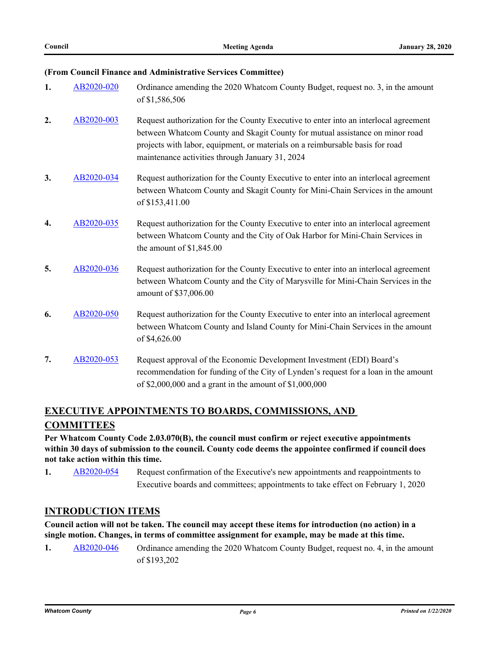#### **(From Council Finance and Administrative Services Committee)**

| 1.               | AB2020-020 | Ordinance amending the 2020 Whatcom County Budget, request no. 3, in the amount<br>of \$1,586,506                                                                                                                                                                                                        |
|------------------|------------|----------------------------------------------------------------------------------------------------------------------------------------------------------------------------------------------------------------------------------------------------------------------------------------------------------|
| 2.               | AB2020-003 | Request authorization for the County Executive to enter into an interlocal agreement<br>between Whatcom County and Skagit County for mutual assistance on minor road<br>projects with labor, equipment, or materials on a reimbursable basis for road<br>maintenance activities through January 31, 2024 |
| 3.               | AB2020-034 | Request authorization for the County Executive to enter into an interlocal agreement<br>between Whatcom County and Skagit County for Mini-Chain Services in the amount<br>of \$153,411.00                                                                                                                |
| $\overline{4}$ . | AB2020-035 | Request authorization for the County Executive to enter into an interlocal agreement<br>between Whatcom County and the City of Oak Harbor for Mini-Chain Services in<br>the amount of $$1,845.00$                                                                                                        |
| 5.               | AB2020-036 | Request authorization for the County Executive to enter into an interlocal agreement<br>between Whatcom County and the City of Marysville for Mini-Chain Services in the<br>amount of \$37,006.00                                                                                                        |
| 6.               | AB2020-050 | Request authorization for the County Executive to enter into an interlocal agreement<br>between Whatcom County and Island County for Mini-Chain Services in the amount<br>of \$4,626.00                                                                                                                  |
| 7.               | AB2020-053 | Request approval of the Economic Development Investment (EDI) Board's<br>recommendation for funding of the City of Lynden's request for a loan in the amount<br>of \$2,000,000 and a grant in the amount of \$1,000,000                                                                                  |

## **EXECUTIVE APPOINTMENTS TO BOARDS, COMMISSIONS, AND COMMITTEES**

**Per Whatcom County Code 2.03.070(B), the council must confirm or reject executive appointments within 30 days of submission to the council. County code deems the appointee confirmed if council does not take action within this time.**

**1.** [AB2020-054](http://whatcom.legistar.com/gateway.aspx?m=l&id=/matter.aspx?key=2814) Request confirmation of the Executive's new appointments and reappointments to Executive boards and committees; appointments to take effect on February 1, 2020

## **INTRODUCTION ITEMS**

**Council action will not be taken. The council may accept these items for introduction (no action) in a single motion. Changes, in terms of committee assignment for example, may be made at this time.**

**1.** [AB2020-046](http://whatcom.legistar.com/gateway.aspx?m=l&id=/matter.aspx?key=2805) Ordinance amending the 2020 Whatcom County Budget, request no. 4, in the amount of \$193,202